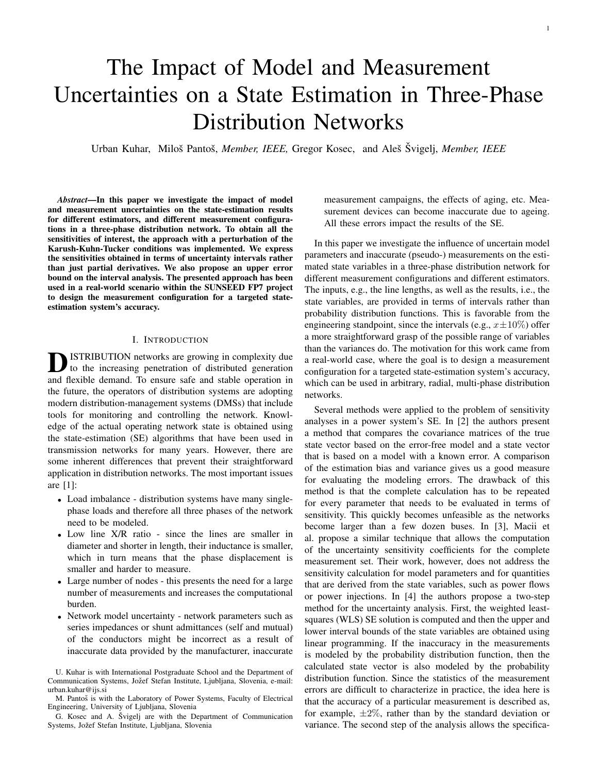# The Impact of Model and Measurement Uncertainties on a State Estimation in Three-Phase Distribution Networks

Urban Kuhar, Miloš Pantoš, Member, IEEE, Gregor Kosec, and Aleš Švigelj, Member, IEEE

*Abstract*—In this paper we investigate the impact of model and measurement uncertainties on the state-estimation results for different estimators, and different measurement configurations in a three-phase distribution network. To obtain all the sensitivities of interest, the approach with a perturbation of the Karush-Kuhn-Tucker conditions was implemented. We express the sensitivities obtained in terms of uncertainty intervals rather than just partial derivatives. We also propose an upper error bound on the interval analysis. The presented approach has been used in a real-world scenario within the SUNSEED FP7 project to design the measurement configuration for a targeted stateestimation system's accuracy.

### I. INTRODUCTION

**D** ISTRIBUTION networks are growing in complexity due<br>to the increasing penetration of distributed generation to the increasing penetration of distributed generation and flexible demand. To ensure safe and stable operation in the future, the operators of distribution systems are adopting modern distribution-management systems (DMSs) that include tools for monitoring and controlling the network. Knowledge of the actual operating network state is obtained using the state-estimation (SE) algorithms that have been used in transmission networks for many years. However, there are some inherent differences that prevent their straightforward application in distribution networks. The most important issues are [1]:

- *•* Load imbalance distribution systems have many singlephase loads and therefore all three phases of the network need to be modeled.
- *•* Low line X/R ratio since the lines are smaller in diameter and shorter in length, their inductance is smaller, which in turn means that the phase displacement is smaller and harder to measure.
- Large number of nodes this presents the need for a large number of measurements and increases the computational burden.
- *•* Network model uncertainty network parameters such as series impedances or shunt admittances (self and mutual) of the conductors might be incorrect as a result of inaccurate data provided by the manufacturer, inaccurate

G. Kosec and A. Švigelj are with the Department of Communication Systems, Jožef Stefan Institute, Ljubljana, Slovenia

measurement campaigns, the effects of aging, etc. Measurement devices can become inaccurate due to ageing. All these errors impact the results of the SE.

In this paper we investigate the influence of uncertain model parameters and inaccurate (pseudo-) measurements on the estimated state variables in a three-phase distribution network for different measurement configurations and different estimators. The inputs, e.g., the line lengths, as well as the results, i.e., the state variables, are provided in terms of intervals rather than probability distribution functions. This is favorable from the engineering standpoint, since the intervals (e.g.,  $x \pm 10\%$ ) offer a more straightforward grasp of the possible range of variables than the variances do. The motivation for this work came from a real-world case, where the goal is to design a measurement configuration for a targeted state-estimation system's accuracy, which can be used in arbitrary, radial, multi-phase distribution networks.

Several methods were applied to the problem of sensitivity analyses in a power system's SE. In [2] the authors present a method that compares the covariance matrices of the true state vector based on the error-free model and a state vector that is based on a model with a known error. A comparison of the estimation bias and variance gives us a good measure for evaluating the modeling errors. The drawback of this method is that the complete calculation has to be repeated for every parameter that needs to be evaluated in terms of sensitivity. This quickly becomes unfeasible as the networks become larger than a few dozen buses. In [3], Macii et al. propose a similar technique that allows the computation of the uncertainty sensitivity coefficients for the complete measurement set. Their work, however, does not address the sensitivity calculation for model parameters and for quantities that are derived from the state variables, such as power flows or power injections. In [4] the authors propose a two-step method for the uncertainty analysis. First, the weighted leastsquares (WLS) SE solution is computed and then the upper and lower interval bounds of the state variables are obtained using linear programming. If the inaccuracy in the measurements is modeled by the probability distribution function, then the calculated state vector is also modeled by the probability distribution function. Since the statistics of the measurement errors are difficult to characterize in practice, the idea here is that the accuracy of a particular measurement is described as, for example,  $\pm 2\%$ , rather than by the standard deviation or variance. The second step of the analysis allows the specifica-

U. Kuhar is with International Postgraduate School and the Department of Communication Systems, Jožef Stefan Institute, Ljubljana, Slovenia, e-mail: urban.kuhar@ijs.si

M. Pantoš is with the Laboratory of Power Systems, Faculty of Electrical Engineering, University of Ljubljana, Slovenia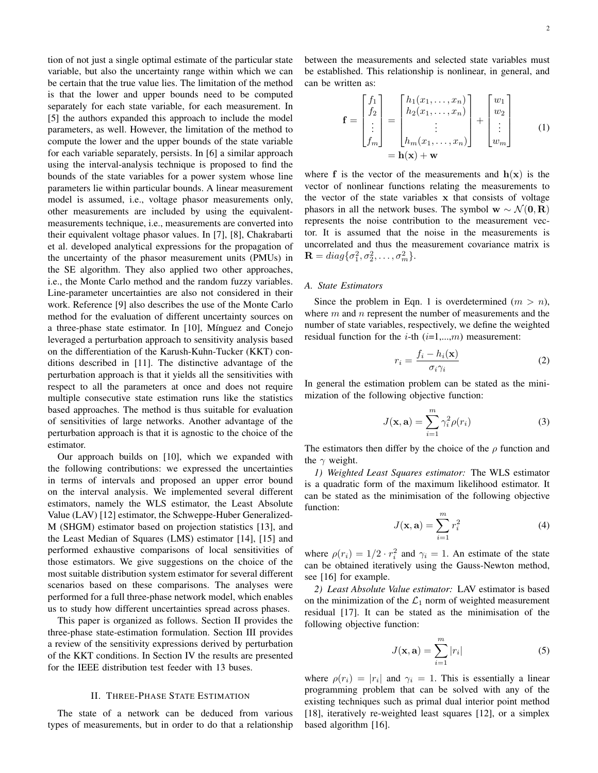tion of not just a single optimal estimate of the particular state variable, but also the uncertainty range within which we can be certain that the true value lies. The limitation of the method is that the lower and upper bounds need to be computed separately for each state variable, for each measurement. In [5] the authors expanded this approach to include the model parameters, as well. However, the limitation of the method to compute the lower and the upper bounds of the state variable for each variable separately, persists. In [6] a similar approach using the interval-analysis technique is proposed to find the bounds of the state variables for a power system whose line parameters lie within particular bounds. A linear measurement model is assumed, i.e., voltage phasor measurements only, other measurements are included by using the equivalentmeasurements technique, i.e., measurements are converted into their equivalent voltage phasor values. In [7], [8], Chakrabarti et al. developed analytical expressions for the propagation of the uncertainty of the phasor measurement units (PMUs) in the SE algorithm. They also applied two other approaches, i.e., the Monte Carlo method and the random fuzzy variables. Line-parameter uncertainties are also not considered in their work. Reference [9] also describes the use of the Monte Carlo method for the evaluation of different uncertainty sources on a three-phase state estimator. In [10], Mínguez and Conejo leveraged a perturbation approach to sensitivity analysis based on the differentiation of the Karush-Kuhn-Tucker (KKT) conditions described in [11]. The distinctive advantage of the perturbation approach is that it yields all the sensitivities with respect to all the parameters at once and does not require multiple consecutive state estimation runs like the statistics based approaches. The method is thus suitable for evaluation of sensitivities of large networks. Another advantage of the perturbation approach is that it is agnostic to the choice of the estimator.

Our approach builds on [10], which we expanded with the following contributions: we expressed the uncertainties in terms of intervals and proposed an upper error bound on the interval analysis. We implemented several different estimators, namely the WLS estimator, the Least Absolute Value (LAV) [12] estimator, the Schweppe-Huber Generalized-M (SHGM) estimator based on projection statistics [13], and the Least Median of Squares (LMS) estimator [14], [15] and performed exhaustive comparisons of local sensitivities of those estimators. We give suggestions on the choice of the most suitable distribution system estimator for several different scenarios based on these comparisons. The analyses were performed for a full three-phase network model, which enables us to study how different uncertainties spread across phases.

This paper is organized as follows. Section II provides the three-phase state-estimation formulation. Section III provides a review of the sensitivity expressions derived by perturbation of the KKT conditions. In Section IV the results are presented for the IEEE distribution test feeder with 13 buses.

### II. THREE-PHASE STATE ESTIMATION

The state of a network can be deduced from various types of measurements, but in order to do that a relationship between the measurements and selected state variables must be established. This relationship is nonlinear, in general, and can be written as:

$$
\mathbf{f} = \begin{bmatrix} f_1 \\ f_2 \\ \vdots \\ f_m \end{bmatrix} = \begin{bmatrix} h_1(x_1, \dots, x_n) \\ h_2(x_1, \dots, x_n) \\ \vdots \\ h_m(x_1, \dots, x_n) \end{bmatrix} + \begin{bmatrix} w_1 \\ w_2 \\ \vdots \\ w_m \end{bmatrix}
$$
(1)  
=  $\mathbf{h}(\mathbf{x}) + \mathbf{w}$ 

where **f** is the vector of the measurements and  $h(x)$  is the vector of nonlinear functions relating the measurements to the vector of the state variables **x** that consists of voltage phasors in all the network buses. The symbol  $\mathbf{w} \sim \mathcal{N}(\mathbf{0}, \mathbf{R})$ represents the noise contribution to the measurement vector. It is assumed that the noise in the measurements is uncorrelated and thus the measurement covariance matrix is  $\mathbf{R} = diag\{\sigma_1^2, \sigma_2^2, \ldots, \sigma_m^2\}.$ 

#### *A. State Estimators*

Since the problem in Eqn. 1 is overdetermined  $(m > n)$ , where *m* and *n* represent the number of measurements and the number of state variables, respectively, we define the weighted residual function for the *i*-th (*i*=1,...,*m*) measurement:

$$
r_i = \frac{f_i - h_i(\mathbf{x})}{\sigma_i \gamma_i} \tag{2}
$$

In general the estimation problem can be stated as the minimization of the following objective function:

$$
J(\mathbf{x}, \mathbf{a}) = \sum_{i=1}^{m} \gamma_i^2 \rho(r_i)
$$
 (3)

The estimators then differ by the choice of the *ρ* function and the *γ* weight.

*1) Weighted Least Squares estimator:* The WLS estimator is a quadratic form of the maximum likelihood estimator. It can be stated as the minimisation of the following objective function:

$$
J(\mathbf{x}, \mathbf{a}) = \sum_{i=1}^{m} r_i^2
$$
 (4)

where  $\rho(r_i) = 1/2 \cdot r_i^2$  and  $\gamma_i = 1$ . An estimate of the state can be obtained iteratively using the Gauss-Newton method, see [16] for example.

*2) Least Absolute Value estimator:* LAV estimator is based on the minimization of the  $\mathcal{L}_1$  norm of weighted measurement residual [17]. It can be stated as the minimisation of the following objective function:

$$
J(\mathbf{x}, \mathbf{a}) = \sum_{i=1}^{m} |r_i|
$$
 (5)

where  $\rho(r_i) = |r_i|$  and  $\gamma_i = 1$ . This is essentially a linear programming problem that can be solved with any of the existing techniques such as primal dual interior point method [18], iteratively re-weighted least squares [12], or a simplex based algorithm [16].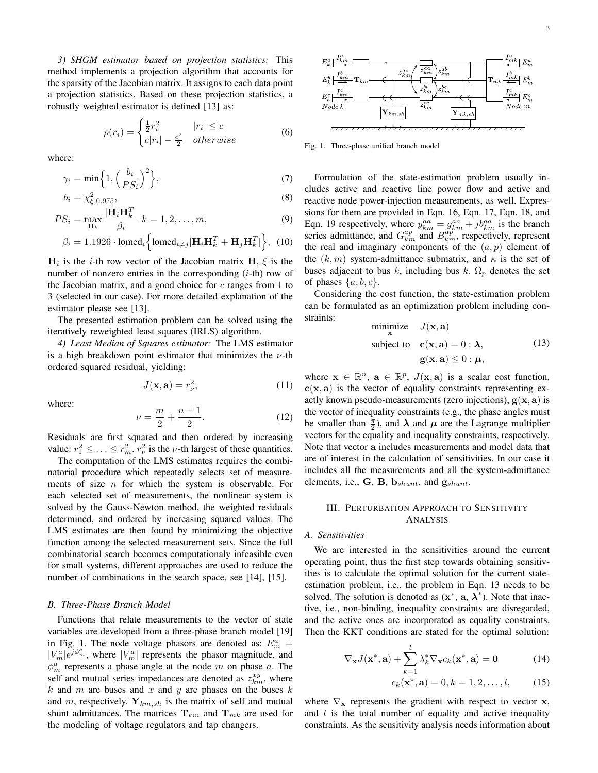*3) SHGM estimator based on projection statistics:* This method implements a projection algorithm that accounts for the sparsity of the Jacobian matrix. It assigns to each data point a projection statistics. Based on these projection statistics, a robustly weighted estimator is defined [13] as:

$$
\rho(r_i) = \begin{cases} \frac{1}{2}r_i^2 & |r_i| \le c\\ c|r_i| - \frac{c^2}{2} & otherwise \end{cases}
$$
 (6)

where:

$$
\gamma_i = \min\left\{1, \left(\frac{b_i}{PS_i}\right)^2\right\},\tag{7}
$$

$$
b_i = \chi_{\xi, 0.975}^2,
$$
\n
$$
[\mathbf{H} \cdot \mathbf{H}^T]
$$
\n(8)

$$
PS_i = \max_{\mathbf{H}_k} \frac{|\mathbf{H}_i \mathbf{H}_k^T|}{\beta_i} \quad k = 1, 2, \dots, m,
$$
 (9)

$$
\beta_i = 1.1926 \cdot \text{lomed}_i \left\{ \text{lomed}_{i \neq j} | \mathbf{H}_i \mathbf{H}_k^T + \mathbf{H}_j \mathbf{H}_k^T | \right\}, \tag{10}
$$

 $H_i$  is the *i*-th row vector of the Jacobian matrix  $H_i \xi$  is the number of nonzero entries in the corresponding (*i*-th) row of the Jacobian matrix, and a good choice for *c* ranges from 1 to 3 (selected in our case). For more detailed explanation of the estimator please see [13].

The presented estimation problem can be solved using the iteratively reweighted least squares (IRLS) algorithm.

*4) Least Median of Squares estimator:* The LMS estimator is a high breakdown point estimator that minimizes the *ν*-th ordered squared residual, yielding:

$$
J(\mathbf{x}, \mathbf{a}) = r_{\nu}^2,\tag{11}
$$

where:

$$
\nu = \frac{m}{2} + \frac{n+1}{2}.\tag{12}
$$

Residuals are first squared and then ordered by increasing value:  $r_1^2 \leq \ldots \leq r_m^2$ .  $r_\nu^2$  is the *ν*-th largest of these quantities.

The computation of the LMS estimates requires the combinatorial procedure which repeatedly selects set of measurements of size *n* for which the system is observable. For each selected set of measurements, the nonlinear system is solved by the Gauss-Newton method, the weighted residuals determined, and ordered by increasing squared values. The LMS estimates are then found by minimizing the objective function among the selected measurement sets. Since the full combinatorial search becomes computationaly infeasible even for small systems, different approaches are used to reduce the number of combinations in the search space, see [14], [15].

# *B. Three-Phase Branch Model*

Functions that relate measurements to the vector of state variables are developed from a three-phase branch model [19] in Fig. 1. The node voltage phasors are denoted as:  $E_m^a$  =  $|V_m^a|e^{j\phi_m^a}$ , where  $|V_m^a|$  represents the phasor magnitude, and *ϕ a <sup>m</sup>* represents a phase angle at the node *m* on phase *a*. The self and mutual series impedances are denoted as  $z_{km}^{xy}$ , where *k* and *m* are buses and *x* and *y* are phases on the buses *k* and *m*, respectively.  $Y_{km,sh}$  is the matrix of self and mutual shunt admittances. The matrices  $\mathbf{T}_{km}$  and  $\mathbf{T}_{mk}$  are used for the modeling of voltage regulators and tap changers.



Fig. 1. Three-phase unified branch model

Formulation of the state-estimation problem usually includes active and reactive line power flow and active and reactive node power-injection measurements, as well. Expressions for them are provided in Eqn. 16, Eqn. 17, Eqn. 18, and Eqn. 19 respectively, where  $y_{km}^{aa} = g_{km}^{aa} + jb_{km}^{aa}$  is the branch series admittance, and  $G_{km}^{ap}$  and  $B_{km}^{ap}$ , respectively, represent the real and imaginary components of the  $(a, p)$  element of the  $(k, m)$  system-admittance submatrix, and  $\kappa$  is the set of buses adjacent to bus *k*, including bus *k*.  $\Omega_p$  denotes the set of phases *{a, b, c}*.

Considering the cost function, the state-estimation problem can be formulated as an optimization problem including constraints:

minimize 
$$
J(\mathbf{x}, \mathbf{a})
$$
  
\nsubject to  $\mathbf{c}(\mathbf{x}, \mathbf{a}) = 0 : \lambda$ ,  
\n $\mathbf{g}(\mathbf{x}, \mathbf{a}) \leq 0 : \mu$ , (13)

where  $\mathbf{x} \in \mathbb{R}^n$ ,  $\mathbf{a} \in \mathbb{R}^p$ ,  $J(\mathbf{x}, \mathbf{a})$  is a scalar cost function,  $c(x, a)$  is the vector of equality constraints representing exactly known pseudo-measurements (zero injections),  $g(x, a)$  is the vector of inequality constraints (e.g., the phase angles must be smaller than  $\frac{\pi}{2}$ ), and  $\lambda$  and  $\mu$  are the Lagrange multiplier vectors for the equality and inequality constraints, respectively. Note that vector **a** includes measurements and model data that are of interest in the calculation of sensitivities. In our case it includes all the measurements and all the system-admittance elements, i.e., **G**, **B**, **b***shunt*, and **g***shunt*.

# III. PERTURBATION APPROACH TO SENSITIVITY ANALYSIS

#### *A. Sensitivities*

We are interested in the sensitivities around the current operating point, thus the first step towards obtaining sensitivities is to calculate the optimal solution for the current stateestimation problem, i.e., the problem in Eqn. 13 needs to be solved. The solution is denoted as  $(\mathbf{x}^*, \mathbf{a}, \boldsymbol{\lambda}^*)$ . Note that inactive, i.e., non-binding, inequality constraints are disregarded, and the active ones are incorporated as equality constraints. Then the KKT conditions are stated for the optimal solution:

$$
\nabla_{\mathbf{x}} J(\mathbf{x}^*, \mathbf{a}) + \sum_{k=1}^l \lambda_k^* \nabla_{\mathbf{x}} c_k(\mathbf{x}^*, \mathbf{a}) = \mathbf{0}
$$
 (14)

$$
c_k(\mathbf{x}^*, \mathbf{a}) = 0, k = 1, 2, \dots, l,
$$
 (15)

where  $\nabla$ **x** represents the gradient with respect to vector **x**, and *l* is the total number of equality and active inequality constraints. As the sensitivity analysis needs information about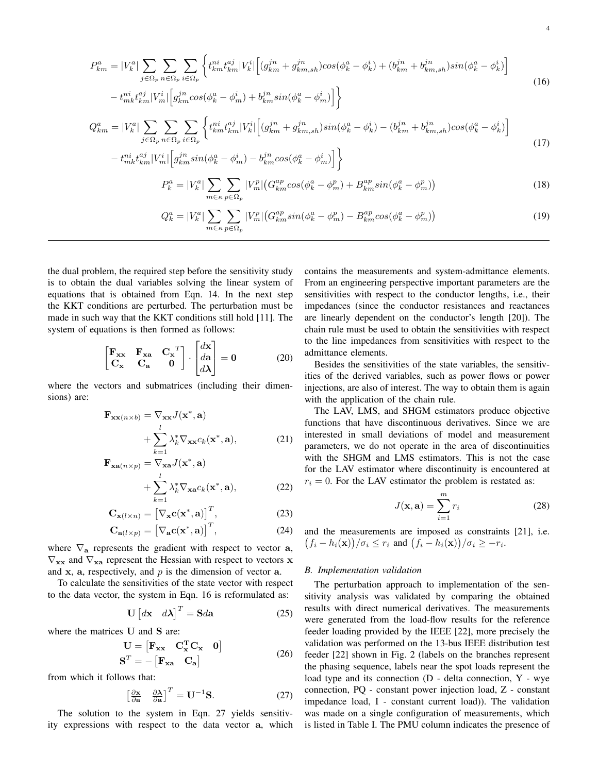$$
P_{km}^{a} = |V_{k}^{a}| \sum_{j \in \Omega_{p}} \sum_{n \in \Omega_{p}} \sum_{i \in \Omega_{p}} \left\{ t_{km}^{ni} t_{km}^{aj} |V_{k}^{i}| \left[ (g_{km}^{jn} + g_{km,sh}^{jn}) cos(\phi_{k}^{a} - \phi_{k}^{i}) + (b_{km}^{jn} + b_{km,sh}^{jn}) sin(\phi_{k}^{a} - \phi_{k}^{i}) \right] - t_{mk}^{ni} t_{km}^{aj} |V_{m}^{i}| \left[ g_{km}^{jn} cos(\phi_{k}^{a} - \phi_{m}^{i}) + b_{km}^{jn} sin(\phi_{k}^{a} - \phi_{m}^{i}) \right] \right\}
$$
\n
$$
Q_{km}^{a} = |V_{k}^{a}| \sum_{j \in \Omega_{p}} \sum_{n \in \Omega_{p}} \sum_{i \in \Omega_{p}} \left\{ t_{km}^{ni} t_{km}^{aj} |V_{k}^{i}| \left[ (g_{km}^{jn} + g_{km,sh}^{jn}) sin(\phi_{k}^{a} - \phi_{k}^{i}) - (b_{km}^{jn} + b_{km,sh}^{jn}) cos(\phi_{k}^{a} - \phi_{k}^{i}) \right] - t_{mk}^{ni} t_{km}^{aj} |V_{m}^{i}| \left[ g_{km}^{jn} sin(\phi_{k}^{a} - \phi_{m}^{i}) - b_{km}^{jn} cos(\phi_{k}^{a} - \phi_{m}^{i}) \right] \right\}
$$
\n
$$
P_{k}^{a} = |V_{k}^{a}| \sum_{m \in \kappa} \sum_{p \in \Omega_{p}} |V_{m}^{p}| (G_{km}^{ap} cos(\phi_{k}^{a} - \phi_{m}^{p}) + B_{km}^{ap} sin(\phi_{k}^{a} - \phi_{m}^{p})) \tag{18}
$$

$$
Q_k^a = |V_k^a| \sum_{m \in \kappa} \sum_{p \in \Omega_p} |V_m^p| \left( G_{km}^{ap} \sin(\phi_k^a - \phi_m^p) - B_{km}^{ap} \cos(\phi_k^a - \phi_m^p) \right) \tag{19}
$$

the dual problem, the required step before the sensitivity study is to obtain the dual variables solving the linear system of equations that is obtained from Eqn. 14. In the next step the KKT conditions are perturbed. The perturbation must be made in such way that the KKT conditions still hold [11]. The system of equations is then formed as follows:

$$
\begin{bmatrix} \mathbf{F}_{\mathbf{x}\mathbf{x}} & \mathbf{F}_{\mathbf{x}\mathbf{a}} & \mathbf{C}_{\mathbf{x}}^T \\ \mathbf{C}_{\mathbf{x}} & \mathbf{C}_{\mathbf{a}} & \mathbf{0} \end{bmatrix} \cdot \begin{bmatrix} d\mathbf{x} \\ d\mathbf{a} \\ d\lambda \end{bmatrix} = \mathbf{0} \tag{20}
$$

where the vectors and submatrices (including their dimensions) are:

$$
\mathbf{F}_{\mathbf{xx}(n \times b)} = \nabla_{\mathbf{xx}} J(\mathbf{x}^*, \mathbf{a}) + \sum_{k=1}^{l} \lambda_k^* \nabla_{\mathbf{xx}} c_k(\mathbf{x}^*, \mathbf{a}),
$$
 (21)

$$
\mathbf{F}_{\mathbf{xa}(n \times p)} = \nabla_{\mathbf{xa}} J(\mathbf{x}^*, \mathbf{a}) + \sum_{k=1}^{l} \lambda_k^* \nabla_{\mathbf{xa}} c_k(\mathbf{x}^*, \mathbf{a}),
$$
 (22)

$$
\mathbf{C}_{\mathbf{x}(l \times n)} = \left[ \nabla_{\mathbf{x}} \mathbf{c}(\mathbf{x}^*, \mathbf{a}) \right]^T, \tag{23}
$$

$$
\mathbf{C}_{\mathbf{a}(l \times p)} = \left[\nabla_{\mathbf{a}} \mathbf{c}(\mathbf{x}^*, \mathbf{a})\right]^T, \tag{24}
$$

where  $\nabla_{\mathbf{a}}$  represents the gradient with respect to vector  $\mathbf{a}$ , *∇***xx** and *∇***xa** represent the Hessian with respect to vectors **x** and **x**, **a**, respectively, and *p* is the dimension of vector **a**.

To calculate the sensitivities of the state vector with respect to the data vector, the system in Eqn. 16 is reformulated as:

$$
\mathbf{U} \begin{bmatrix} d\mathbf{x} & d\mathbf{\lambda} \end{bmatrix}^T = \mathbf{S} d\mathbf{a} \tag{25}
$$

where the matrices **U** and **S** are:

$$
\mathbf{U} = \begin{bmatrix} \mathbf{F}_{\mathbf{xx}} & \mathbf{C}_{\mathbf{x}}^{\mathbf{T}} \mathbf{C}_{\mathbf{x}} & 0 \end{bmatrix}
$$
  

$$
\mathbf{S}^{T} = -\begin{bmatrix} \mathbf{F}_{\mathbf{xa}} & \mathbf{C}_{\mathbf{a}} \end{bmatrix}
$$
 (26)

from which it follows that:

$$
\begin{bmatrix} \frac{\partial \mathbf{x}}{\partial \mathbf{a}} & \frac{\partial \mathbf{\lambda}}{\partial \mathbf{a}} \end{bmatrix}^T = \mathbf{U}^{-1} \mathbf{S}.\tag{27}
$$

The solution to the system in Eqn. 27 yields sensitivity expressions with respect to the data vector **a**, which contains the measurements and system-admittance elements. From an engineering perspective important parameters are the sensitivities with respect to the conductor lengths, i.e., their impedances (since the conductor resistances and reactances are linearly dependent on the conductor's length [20]). The chain rule must be used to obtain the sensitivities with respect to the line impedances from sensitivities with respect to the admittance elements.

Besides the sensitivities of the state variables, the sensitivities of the derived variables, such as power flows or power injections, are also of interest. The way to obtain them is again with the application of the chain rule.

The LAV, LMS, and SHGM estimators produce objective functions that have discontinuous derivatives. Since we are interested in small deviations of model and measurement parameters, we do not operate in the area of discontinuities with the SHGM and LMS estimators. This is not the case for the LAV estimator where discontinuity is encountered at  $r_i = 0$ . For the LAV estimator the problem is restated as:

$$
J(\mathbf{x}, \mathbf{a}) = \sum_{i=1}^{m} r_i
$$
 (28)

and the measurements are imposed as constraints [21], i.e.  $(f_i - h_i(\mathbf{x})) / \sigma_i \leq r_i$  and  $(f_i - h_i(\mathbf{x})) / \sigma_i \geq -r_i$ .

# *B. Implementation validation*

The perturbation approach to implementation of the sensitivity analysis was validated by comparing the obtained results with direct numerical derivatives. The measurements were generated from the load-flow results for the reference feeder loading provided by the IEEE [22], more precisely the validation was performed on the 13-bus IEEE distribution test feeder [22] shown in Fig. 2 (labels on the branches represent the phasing sequence, labels near the spot loads represent the load type and its connection (D - delta connection, Y - wye connection, PQ - constant power injection load, Z - constant impedance load, I - constant current load)). The validation was made on a single configuration of measurements, which is listed in Table I. The PMU column indicates the presence of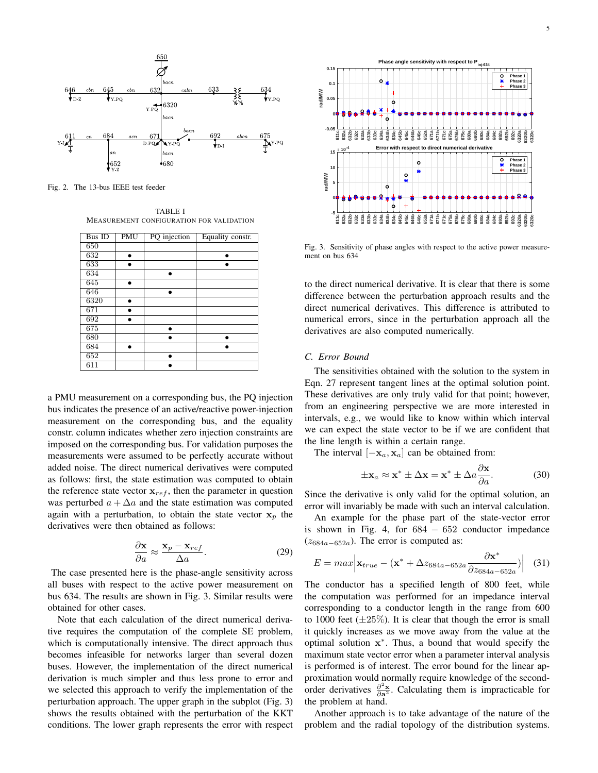

Fig. 2. The 13-bus IEEE test feeder

TABLE I MEASUREMENT CONFIGURATION FOR VALIDATION

| Bus ID | <b>PMU</b> | PQ injection | Equality constr. |  |
|--------|------------|--------------|------------------|--|
| 650    |            |              |                  |  |
| 632    |            |              |                  |  |
| 633    |            |              |                  |  |
| 634    |            |              |                  |  |
| 645    |            |              |                  |  |
| 646    |            |              |                  |  |
| 6320   |            |              |                  |  |
| 671    |            |              |                  |  |
| 692    |            |              |                  |  |
| 675    |            |              |                  |  |
| 680    |            |              |                  |  |
| 684    |            |              |                  |  |
| 652    |            |              |                  |  |
| 611    |            |              |                  |  |

a PMU measurement on a corresponding bus, the PQ injection bus indicates the presence of an active/reactive power-injection measurement on the corresponding bus, and the equality constr. column indicates whether zero injection constraints are imposed on the corresponding bus. For validation purposes the measurements were assumed to be perfectly accurate without added noise. The direct numerical derivatives were computed as follows: first, the state estimation was computed to obtain the reference state vector  $\mathbf{x}_{ref}$ , then the parameter in question was perturbed  $a + \Delta a$  and the state estimation was computed again with a perturbation, to obtain the state vector  $x_p$  the derivatives were then obtained as follows:  $\frac{1}{12}$  is  $\frac{1}{12}$  in the term is equilibrium to the state of the state of the state of the state of the state of the state of the state of the state of the state of the state of the state of the state of the stat

$$
\frac{\partial \mathbf{x}}{\partial a} \approx \frac{\mathbf{x}_p - \mathbf{x}_{ref}}{\Delta a}.
$$
 (29)

The case presented here is the phase-angle sensitivity across all buses with respect to the active power measurement on bus 634. The results are shown in Fig. 3. Similar results were obtained for other cases.

Note that each calculation of the direct numerical derivative requires the computation of the complete SE problem, which is computationally intensive. The direct approach thus becomes infeasible for networks larger than several dozen buses. However, the implementation of the direct numerical derivation is much simpler and thus less prone to error and we selected this approach to verify the implementation of the perturbation approach. The upper graph in the subplot (Fig. 3) shows the results obtained with the perturbation of the KKT



Fig. 3. Sensitivity of phase angles with respect to the active power measurement on bus 634

to the direct numerical derivative. It is clear that there is some difference between the perturbation approach results and the direct numerical derivatives. This difference is attributed to numerical errors, since in the perturbation approach all the derivatives are also computed numerically.

### *C. Error Bound*

The sensitivities obtained with the solution to the system in Eqn. 27 represent tangent lines at the optimal solution point. These derivatives are only truly valid for that point; however, from an engineering perspective we are more interested in intervals, e.g., we would like to know within which interval we can expect the state vector to be if we are confident that the line length is within a certain range.

The interval  $[-\mathbf{x}_a, \mathbf{x}_a]$  can be obtained from:

$$
\pm \mathbf{x}_a \approx \mathbf{x}^* \pm \Delta \mathbf{x} = \mathbf{x}^* \pm \Delta a \frac{\partial \mathbf{x}}{\partial a}.
$$
 (30)

Since the derivative is only valid for the optimal solution, an error will invariably be made with such an interval calculation.

An example for the phase part of the state-vector error is shown in Fig. 4, for 684 *−* 652 conductor impedance (*z*684*a−*652*a*). The error is computed as:

$$
E = max \Big| \mathbf{x}_{true} - (\mathbf{x}^* + \Delta z_{684a - 652a} \frac{\partial \mathbf{x}^*}{\partial z_{684a - 652a}}) \Big| \quad (31)
$$

The conductor has a specified length of 800 feet, while the computation was performed for an impedance interval corresponding to a conductor length in the range from 600 to 1000 feet  $(\pm 25\%)$ . It is clear that though the error is small it quickly increases as we move away from the value at the optimal solution **x** *∗* . Thus, a bound that would specify the maximum state vector error when a parameter interval analysis is performed is of interest. The error bound for the linear approximation would normally require knowledge of the secondorder derivatives  $\frac{\partial^2 \mathbf{x}}{\partial \mathbf{a}^2}$ . Calculating them is impracticable for the problem at hand.

Another approach is to take advantage of the nature of the problem and the radial topology of the distribution systems.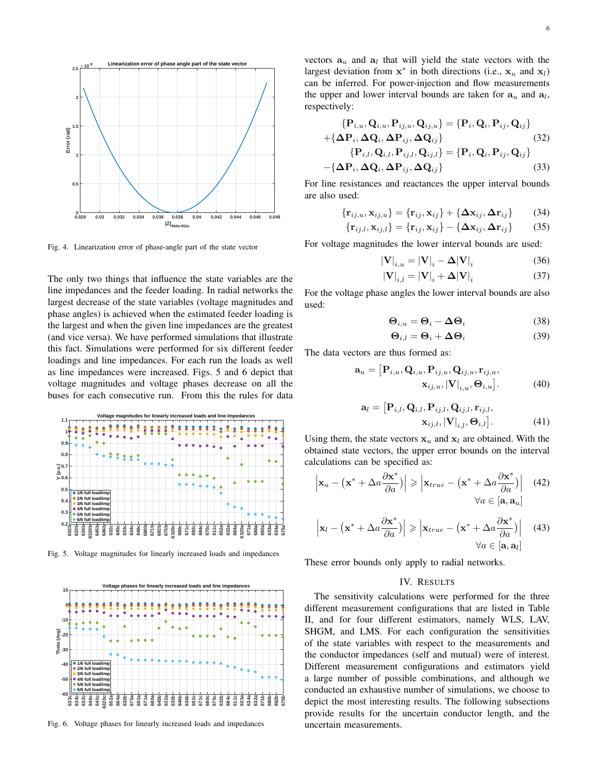

Fig. 4. Linearization error of phase-angle part of the state vector

The only two things that influence the state variables are the line impedances and the feeder loading. In radial networks the largest decrease of the state variables (voltage magnitudes and phase angles) is achieved when the estimated feeder loading is the largest and when the given line impedances are the greatest (and vice versa). We have performed simulations that illustrate this fact. Simulations were performed for six different feeder loadings and line impedances. For each run the loads as well as line impedances were increased. Figs. 5 and 6 depict that voltage magnitudes and voltage phases decrease on all the buses for each consecutive run. From this the rules for data



Fig. 5. Voltage magnitudes for linearly increased loads and impedances



Fig. 6. Voltage phases for linearly increased loads and impedances

vectors  $a_u$  and  $a_l$  that will yield the state vectors with the largest deviation from  $x^*$  in both directions (i.e.,  $x_u$  and  $x_l$ ) can be inferred. For power-injection and flow measurements the upper and lower interval bounds are taken for  $a_u$  and  $a_l$ , respectively:

$$
\{P_{i,u}, Q_{i,u}, P_{ij,u}, Q_{ij,u}\} = \{P_i, Q_i, P_{ij}, Q_{ij}\}\n+ \{\Delta P_i, \Delta Q_i, \Delta P_{ij}, \Delta Q_{ij}\}\n\{P_{i,l}, Q_{i,l}, P_{ij,l}, Q_{ij,l}\} = \{P_i, Q_i, P_{ij}, Q_{ij}\}\n- \{\Delta P_i, \Delta Q_i, \Delta P_{ij}, \Delta Q_{ij}\}\n\tag{33}
$$

For line resistances and reactances the upper interval bounds are also used:

$$
\{\mathbf r_{ij,u}, \mathbf x_{ij,u}\} = \{\mathbf r_{ij}, \mathbf x_{ij}\} + \{\boldsymbol{\Delta}\mathbf x_{ij}, \boldsymbol{\Delta}\mathbf r_{ij}\}\qquad(34)
$$

$$
\{\mathbf r_{ij,l}, \mathbf x_{ij,l}\} = \{\mathbf r_{ij}, \mathbf x_{ij}\} - \{\mathbf \Delta \mathbf x_{ij}, \mathbf \Delta \mathbf r_{ij}\}\
$$
 (35)

For voltage magnitudes the lower interval bounds are used:

$$
|\mathbf{V}|_{i,u} = |\mathbf{V}|_i - \Delta |\mathbf{V}|_i \tag{36}
$$

$$
|\mathbf{V}|_{i,l} = |\mathbf{V}|_i + \Delta |\mathbf{V}|_i \tag{37}
$$

For the voltage phase angles the lower interval bounds are also used:

$$
\Theta_{i,u} = \Theta_i - \Delta \Theta_i \tag{38}
$$

$$
\mathbf{\Theta}_{i,l} = \mathbf{\Theta}_i + \mathbf{\Delta}\mathbf{\Theta}_i \tag{39}
$$

The data vectors are thus formed as:

$$
\mathbf{a}_{u} = [\mathbf{P}_{i,u}, \mathbf{Q}_{i,u}, \mathbf{P}_{ij,u}, \mathbf{Q}_{ij,u}, \mathbf{r}_{ij,u}, \mathbf{x}_{ij,u}, [\mathbf{V}|_{i,u}, \mathbf{\Theta}_{i,u}].
$$
\n(40)

$$
\mathbf{a}_{l} = [\mathbf{P}_{i,l}, \mathbf{Q}_{i,l}, \mathbf{P}_{ij,l}, \mathbf{Q}_{ij,l}, \mathbf{r}_{ij,l}, \mathbf{x}_{ij,l}, |\mathbf{V}|_{i,l}, \mathbf{\Theta}_{i,l}].
$$
\n(41)

Using them, the state vectors  $x_u$  and  $x_l$  are obtained. With the obtained state vectors, the upper error bounds on the interval calculations can be specified as:

$$
\left|\mathbf{x}_{u} - \left(\mathbf{x}^{*} + \Delta a \frac{\partial \mathbf{x}^{*}}{\partial a}\right)\right| \geq \left|\mathbf{x}_{true} - \left(\mathbf{x}^{*} + \Delta a \frac{\partial \mathbf{x}^{*}}{\partial a}\right)\right| \quad (42)
$$

$$
\forall a \in [\mathbf{a}, \mathbf{a}_{u}]
$$

$$
\left|\mathbf{x}_{l} - \left(\mathbf{x}^{*} + \Delta a \frac{\partial \mathbf{x}^{*}}{\partial a}\right)\right| \geq \left|\mathbf{x}_{true} - \left(\mathbf{x}^{*} + \Delta a \frac{\partial \mathbf{x}^{*}}{\partial a}\right)\right| \quad (43)
$$

$$
\forall a \in [\mathbf{a}, \mathbf{a}_{l}]
$$

These error bounds only apply to radial networks.

#### IV. RESULTS

The sensitivity calculations were performed for the three different measurement configurations that are listed in Table II, and for four different estimators, namely WLS, LAV, SHGM, and LMS. For each configuration the sensitivities of the state variables with respect to the measurements and the conductor impedances (self and mutual) were of interest. Different measurement configurations and estimators yield a large number of possible combinations, and although we conducted an exhaustive number of simulations, we choose to depict the most interesting results. The following subsections provide results for the uncertain conductor length, and the uncertain measurements.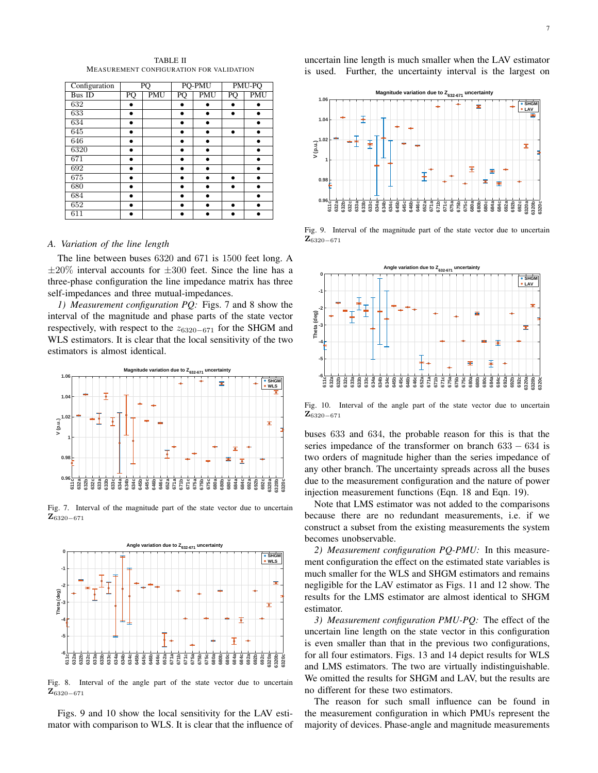TABLE II MEASUREMENT CONFIGURATION FOR VALIDATION

| Configuration | PQ        |            | PQ-PMU    |            | PMU-PQ    |           |
|---------------|-----------|------------|-----------|------------|-----------|-----------|
| Bus ID        | PQ        | <b>PMU</b> | PQ        | <b>PMU</b> | PQ        | PMU       |
| 632           | ٠         |            |           |            | $\bullet$ |           |
| 633           | ٠         |            | ٠         |            | $\bullet$ | Ď         |
| 634           | ٠         |            | ٠         |            |           | ٠         |
| 645           |           |            |           |            | $\bullet$ | ۰         |
| 646           | ٠         |            | $\bullet$ |            |           |           |
| 6320          |           |            |           |            |           | $\bullet$ |
| 671           | $\bullet$ |            |           |            |           | h         |
| 692           | ٠         |            |           |            |           | $\bullet$ |
| 675           | ٠         |            |           |            | $\bullet$ | $\bullet$ |
| 680           | ٠         |            | $\bullet$ |            | $\bullet$ | $\bullet$ |
| 684           |           |            |           | $\bullet$  |           | $\bullet$ |
| 652           | ٠         |            |           |            | ٠         | $\bullet$ |
| 611           |           |            |           |            |           |           |

### *A. Variation of the line length*

The line between buses 6320 and 671 is 1500 feet long. A *±*20% interval accounts for *±*300 feet. Since the line has a three-phase configuration the line impedance matrix has three self-impedances and three mutual-impedances.

*1) Measurement configuration PQ:* Figs. 7 and 8 show the interval of the magnitude and phase parts of the state vector respectively, with respect to the *z*<sup>6320</sup>*−*<sup>671</sup> for the SHGM and WLS estimators. It is clear that the local sensitivity of the two estimators is almost identical.



Fig. 7. Interval of the magnitude part of the state vector due to uncertain **Z**6320*−*<sup>671</sup>



Fig. 8. Interval of the angle part of the state vector due to uncertain **Z**6320*−*<sup>671</sup>

Figs. 9 and 10 show the local sensitivity for the LAV estimator with comparison to WLS. It is clear that the influence of uncertain line length is much smaller when the LAV estimator is used. Further, the uncertainty interval is the largest on



Fig. 9. Interval of the magnitude part of the state vector due to uncertain **Z**6320*−*<sup>671</sup>



Fig. 10. Interval of the angle part of the state vector due to uncertain **Z**6320*−*<sup>671</sup>

buses 633 and 634, the probable reason for this is that the series impedance of the transformer on branch 633 *−* 634 is two orders of magnitude higher than the series impedance of any other branch. The uncertainty spreads across all the buses due to the measurement configuration and the nature of power injection measurement functions (Eqn. 18 and Eqn. 19).

Note that LMS estimator was not added to the comparisons because there are no redundant measurements, i.e. if we construct a subset from the existing measurements the system becomes unobservable.

*2) Measurement configuration PQ-PMU:* In this measurement configuration the effect on the estimated state variables is much smaller for the WLS and SHGM estimators and remains negligible for the LAV estimator as Figs. 11 and 12 show. The results for the LMS estimator are almost identical to SHGM estimator.

*3) Measurement configuration PMU-PQ:* The effect of the uncertain line length on the state vector in this configuration is even smaller than that in the previous two configurations, for all four estimators. Figs. 13 and 14 depict results for WLS and LMS estimators. The two are virtually indistinguishable. We omitted the results for SHGM and LAV, but the results are no different for these two estimators.

The reason for such small influence can be found in the measurement configuration in which PMUs represent the majority of devices. Phase-angle and magnitude measurements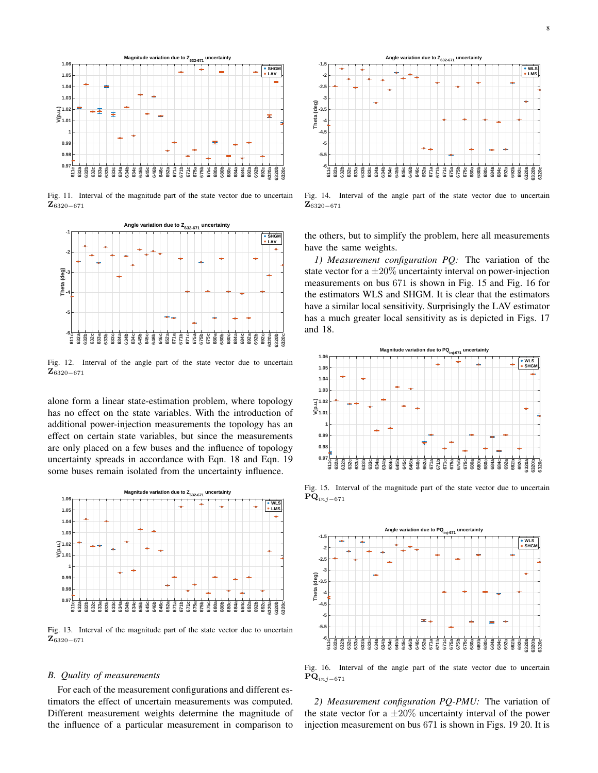

**611c 632a 632b 632c 633a 633b 633c 634a 634b 634c 645b 645c 646b 646c 652a 671a 671b 671c 675a 675b 675c 680a 680b 680c 684a 684c 692a 692b 692c 6320a 6320b 6320c 0.97 0.98** Fig. 11. Interval of the magnitude part of the state vector due to uncertain

**F**<br>**9**<br>> 1.01

÷,

**0.99 1**

**Z**6320*−*<sup>671</sup>

**1.02 1.03 1.04 1.05 1.06**



Fig. 12. Interval of the angle part of the state vector due to uncertain **Z**6320*−*<sup>671</sup>

alone form a linear state-estimation problem, where topology has no effect on the state variables. With the introduction of additional power-injection measurements the topology has an effect on certain state variables, but since the measurements are only placed on a few buses and the influence of topology uncertainty spreads in accordance with Eqn. 18 and Eqn. 19 some buses remain isolated from the uncertainty influence.



Fig. 13. Interval of the magnitude part of the state vector due to uncertain **Z**6320*−*<sup>671</sup>

#### *B. Quality of measurements*

For each of the measurement configurations and different estimators the effect of uncertain measurements was computed. Different measurement weights determine the magnitude of



Fig. 14. Interval of the angle part of the state vector due to uncertain **Z**6320*−*<sup>671</sup>

the others, but to simplify the problem, here all measurements have the same weights.

*1) Measurement configuration PQ:* The variation of the state vector for a *±*20% uncertainty interval on power-injection measurements on bus 671 is shown in Fig. 15 and Fig. 16 for the estimators WLS and SHGM. It is clear that the estimators have a similar local sensitivity. Surprisingly the LAV estimator has a much greater local sensitivity as is depicted in Figs. 17 and 18.



Fig. 15. Interval of the magnitude part of the state vector due to uncertain **PQ***inj−*<sup>671</sup>



Fig. 16. Interval of the angle part of the state vector due to uncertain **PQ***inj−*<sup>671</sup>

*2) Measurement configuration PQ-PMU:* The variation of the state vector for a  $\pm 20\%$  uncertainty interval of the power injection measurement on bus 671 is shown in Figs. 19 20. It is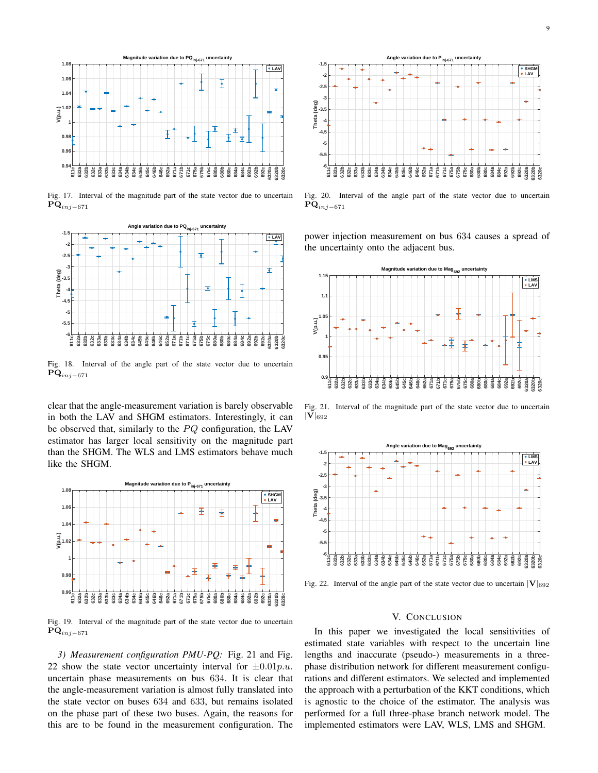

Fig. 17. Interval of the magnitude part of the state vector due to uncertain **PQ***inj−*<sup>671</sup>



Fig. 18. Interval of the angle part of the state vector due to uncertain **PQ***inj−*<sup>671</sup>

clear that the angle-measurement variation is barely observable in both the LAV and SHGM estimators. Interestingly, it can be observed that, similarly to the *PQ* configuration, the LAV estimator has larger local sensitivity on the magnitude part than the SHGM. The WLS and LMS estimators behave much like the SHGM.



Fig. 19. Interval of the magnitude part of the state vector due to uncertain **PQ***inj−*<sup>671</sup>

*3) Measurement configuration PMU-PQ:* Fig. 21 and Fig. 22 show the state vector uncertainty interval for  $\pm 0.01 p.u.$ uncertain phase measurements on bus 634. It is clear that the angle-measurement variation is almost fully translated into the state vector on buses 634 and 633, but remains isolated on the phase part of these two buses. Again, the reasons for



Fig. 20. Interval of the angle part of the state vector due to uncertain **PQ***inj−*<sup>671</sup>

power injection measurement on bus 634 causes a spread of the uncertainty onto the adjacent bus.



Fig. 21. Interval of the magnitude part of the state vector due to uncertain *|***V***|*<sup>692</sup>



Fig. 22. Interval of the angle part of the state vector due to uncertain  $|V|_{692}$ 

# V. CONCLUSION

In this paper we investigated the local sensitivities of estimated state variables with respect to the uncertain line lengths and inaccurate (pseudo-) measurements in a threephase distribution network for different measurement configurations and different estimators. We selected and implemented the approach with a perturbation of the KKT conditions, which is agnostic to the choice of the estimator. The analysis was performed for a full three-phase branch network model. The implemented estimators were LAV, WLS, LMS and SHGM.